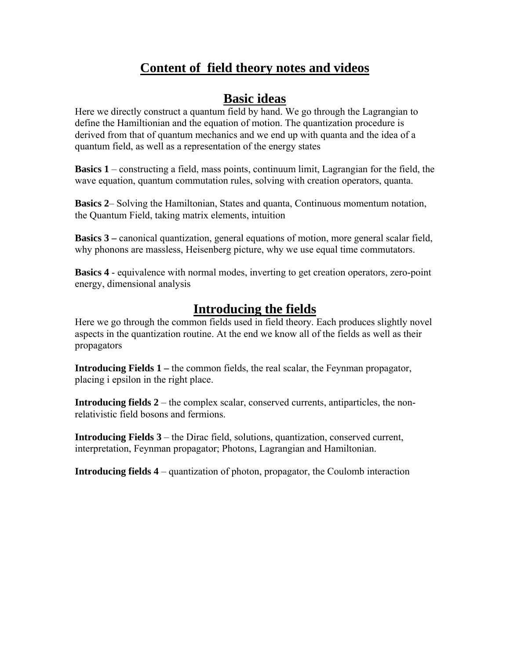## **Content of field theory notes and videos**

#### **Basic ideas**

Here we directly construct a quantum field by hand. We go through the Lagrangian to define the Hamiltionian and the equation of motion. The quantization procedure is derived from that of quantum mechanics and we end up with quanta and the idea of a quantum field, as well as a representation of the energy states

**Basics 1** – constructing a field, mass points, continuum limit, Lagrangian for the field, the wave equation, quantum commutation rules, solving with creation operators, quanta.

**Basics 2**– Solving the Hamiltonian, States and quanta, Continuous momentum notation, the Quantum Field, taking matrix elements, intuition

**Basics 3 –** canonical quantization, general equations of motion, more general scalar field, why phonons are massless, Heisenberg picture, why we use equal time commutators.

**Basics 4** - equivalence with normal modes, inverting to get creation operators, zero-point energy, dimensional analysis

## **Introducing the fields**

Here we go through the common fields used in field theory. Each produces slightly novel aspects in the quantization routine. At the end we know all of the fields as well as their propagators

**Introducing Fields 1** – the common fields, the real scalar, the Feynman propagator, placing i epsilon in the right place.

**Introducing fields 2** – the complex scalar, conserved currents, antiparticles, the nonrelativistic field bosons and fermions.

**Introducing Fields 3** – the Dirac field, solutions, quantization, conserved current, interpretation, Feynman propagator; Photons, Lagrangian and Hamiltonian.

**Introducing fields 4** – quantization of photon, propagator, the Coulomb interaction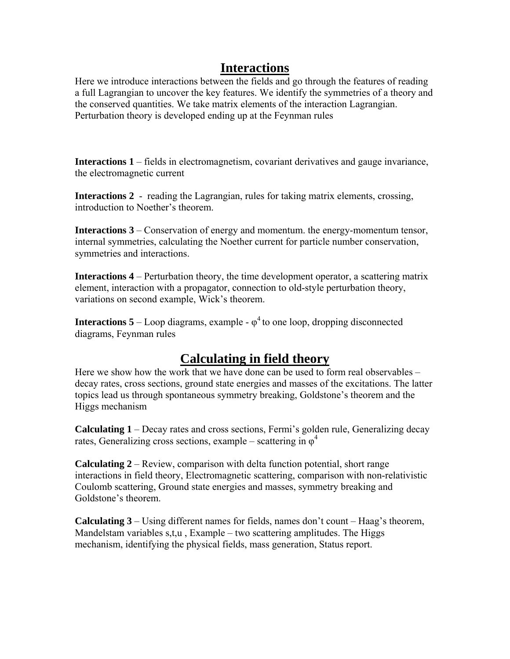#### **Interactions**

Here we introduce interactions between the fields and go through the features of reading a full Lagrangian to uncover the key features. We identify the symmetries of a theory and the conserved quantities. We take matrix elements of the interaction Lagrangian. Perturbation theory is developed ending up at the Feynman rules

**Interactions 1** – fields in electromagnetism, covariant derivatives and gauge invariance, the electromagnetic current

**Interactions 2** - reading the Lagrangian, rules for taking matrix elements, crossing, introduction to Noether's theorem.

**Interactions 3** – Conservation of energy and momentum. the energy-momentum tensor, internal symmetries, calculating the Noether current for particle number conservation, symmetries and interactions.

**Interactions 4** – Perturbation theory, the time development operator, a scattering matrix element, interaction with a propagator, connection to old-style perturbation theory, variations on second example, Wick's theorem.

**Interactions 5** – Loop diagrams, example  $-\varphi^4$  to one loop, dropping disconnected diagrams, Feynman rules

#### **Calculating in field theory**

Here we show how the work that we have done can be used to form real observables – decay rates, cross sections, ground state energies and masses of the excitations. The latter topics lead us through spontaneous symmetry breaking, Goldstone's theorem and the Higgs mechanism

**Calculating 1** – Decay rates and cross sections, Fermi's golden rule, Generalizing decay rates, Generalizing cross sections, example – scattering in  $\varphi^4$ 

**Calculating 2** – Review, comparison with delta function potential, short range interactions in field theory, Electromagnetic scattering, comparison with non-relativistic Coulomb scattering, Ground state energies and masses, symmetry breaking and Goldstone's theorem.

**Calculating 3** – Using different names for fields, names don't count – Haag's theorem, Mandelstam variables  $s,t,u$ , Example – two scattering amplitudes. The Higgs mechanism, identifying the physical fields, mass generation, Status report.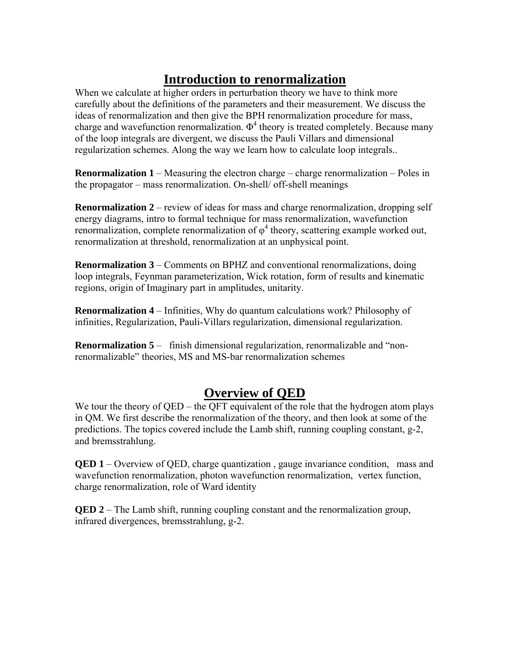# **Introduction to renormalization**

When we calculate at higher orders in perturbation theory we have to think more carefully about the definitions of the parameters and their measurement. We discuss the ideas of renormalization and then give the BPH renormalization procedure for mass, charge and wavefunction renormalization.  $\Phi^4$  theory is treated completely. Because many of the loop integrals are divergent, we discuss the Pauli Villars and dimensional regularization schemes. Along the way we learn how to calculate loop integrals..

**Renormalization 1** – Measuring the electron charge – charge renormalization – Poles in the propagator – mass renormalization. On-shell/ off-shell meanings

**Renormalization 2** – review of ideas for mass and charge renormalization, dropping self energy diagrams, intro to formal technique for mass renormalization, wavefunction renormalization, complete renormalization of  $\varphi^4$  theory, scattering example worked out, renormalization at threshold, renormalization at an unphysical point.

**Renormalization 3** – Comments on BPHZ and conventional renormalizations, doing loop integrals, Feynman parameterization, Wick rotation, form of results and kinematic regions, origin of Imaginary part in amplitudes, unitarity.

**Renormalization 4** – Infinities, Why do quantum calculations work? Philosophy of infinities, Regularization, Pauli-Villars regularization, dimensional regularization.

**Renormalization 5** – finish dimensional regularization, renormalizable and "nonrenormalizable" theories, MS and MS-bar renormalization schemes

## **Overview of QED**

We tour the theory of QED – the QFT equivalent of the role that the hydrogen atom plays in QM. We first describe the renormalization of the theory, and then look at some of the predictions. The topics covered include the Lamb shift, running coupling constant, g-2, and bremsstrahlung.

**QED 1** – Overview of QED, charge quantization, gauge invariance condition, mass and wavefunction renormalization, photon wavefunction renormalization, vertex function, charge renormalization, role of Ward identity

**QED 2** – The Lamb shift, running coupling constant and the renormalization group, infrared divergences, bremsstrahlung, g-2.